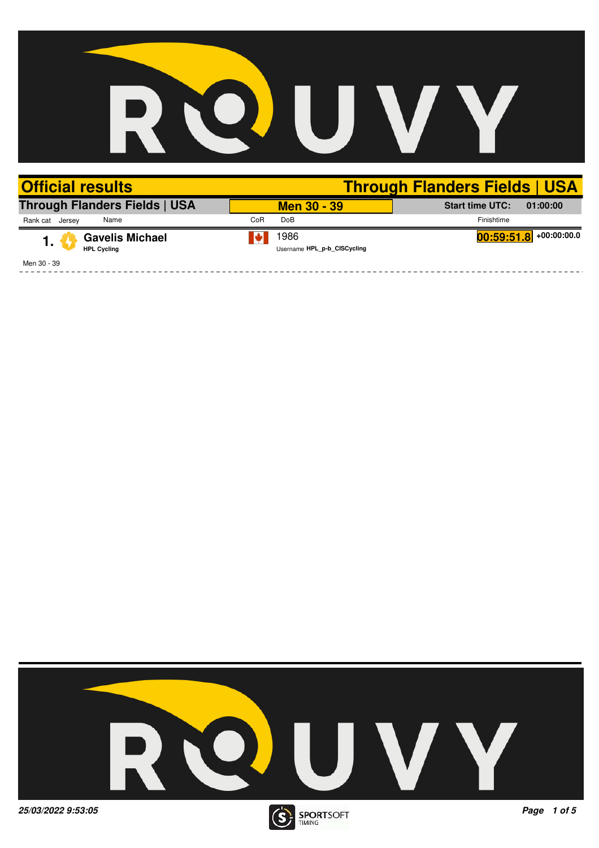

| <b>Official results</b>                            |                                     | <b>Through Flanders Fields   USA</b> |
|----------------------------------------------------|-------------------------------------|--------------------------------------|
| <b>Through Flanders Fields   USA</b>               | <b>Men 30 - 39</b>                  | <b>Start time UTC:</b><br>01:00:00   |
| Name<br>Rank cat<br>Jersey                         | CoR<br><b>DoB</b>                   | Finishtime                           |
| <b>Gavelis Michael</b><br>1.<br><b>HPL Cycling</b> | 1986<br>Username HPL p-b CISCycling | $\boxed{00:59:51.8}$ +00:00:00.0     |
| Men 30 - 39                                        |                                     |                                      |

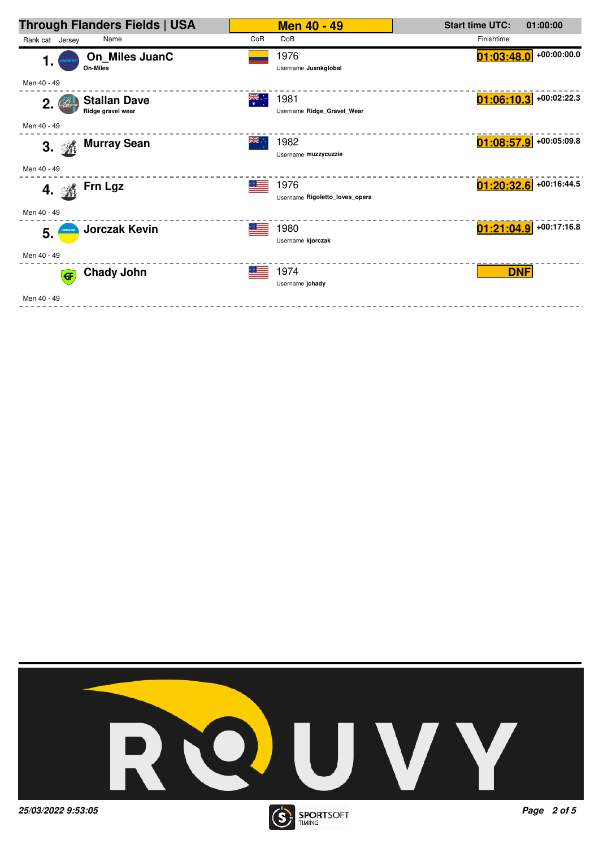| <b>Through Flanders Fields   USA</b>           |               | <b>Men 40 - 49</b>                     | <b>Start time UTC:</b>   | 01:00:00      |
|------------------------------------------------|---------------|----------------------------------------|--------------------------|---------------|
| Name<br>Rank cat Jersey                        | CoR           | <b>DoB</b>                             | Finishtime               |               |
| On_Miles JuanC<br>1.<br>On-Miles               |               | 1976<br>Username Juankglobal           | 01:03:48.0               | $+00:00:00.0$ |
| Men 40 - 49                                    |               |                                        |                          |               |
| <b>Stallan Dave</b><br>2.<br>Ridge gravel wear | $\frac{1}{2}$ | 1981<br>Username Ridge Gravel Wear     | $01:06:10.3$ +00:02:22.3 |               |
| Men 40 - 49                                    |               |                                        |                          |               |
| <b>Murray Sean</b><br>3. 淼                     | aik ∴         | 1982<br>Username muzzycuzzie           | $01:08:57.9$ +00:05:09.8 |               |
| Men 40 - 49                                    |               |                                        |                          |               |
| Frn Lgz<br>4. 淼                                |               | 1976<br>Username Rigoletto loves opera | $01:20:32.6$ +00:16:44.5 |               |
| Men 40 - 49                                    |               |                                        |                          |               |
| <b>Jorczak Kevin</b><br><b>UKRAINE</b><br>5.   |               | 1980<br>Username kjorczak              | $01:21:04.9$ +00:17:16.8 |               |
| Men 40 - 49                                    |               |                                        |                          |               |
| <b>Chady John</b><br>$\left($ GF $\right)$     |               | 1974<br>Username jchady                | <b>DNF</b>               |               |
| Men 40 - 49                                    |               |                                        |                          |               |



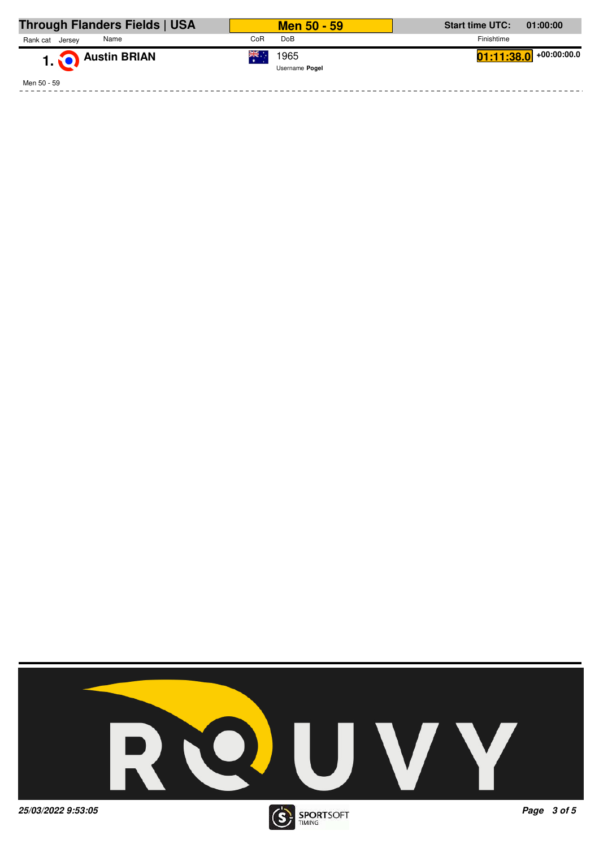| Through Flanders Fields   USA | <b>Men 50 - 59</b>            | <b>Start time UTC:</b><br>01:00:00 |
|-------------------------------|-------------------------------|------------------------------------|
| Rank cat<br>Name<br>Jersev    | Do <sub>B</sub><br>CoR        | Finishtime                         |
| 1. Austin BRIAN               | ▒.∴<br>1965<br>Username Pogel | $01:11:38.0$ +00:00:00.0           |
| Men 50 - 59                   |                               |                                    |



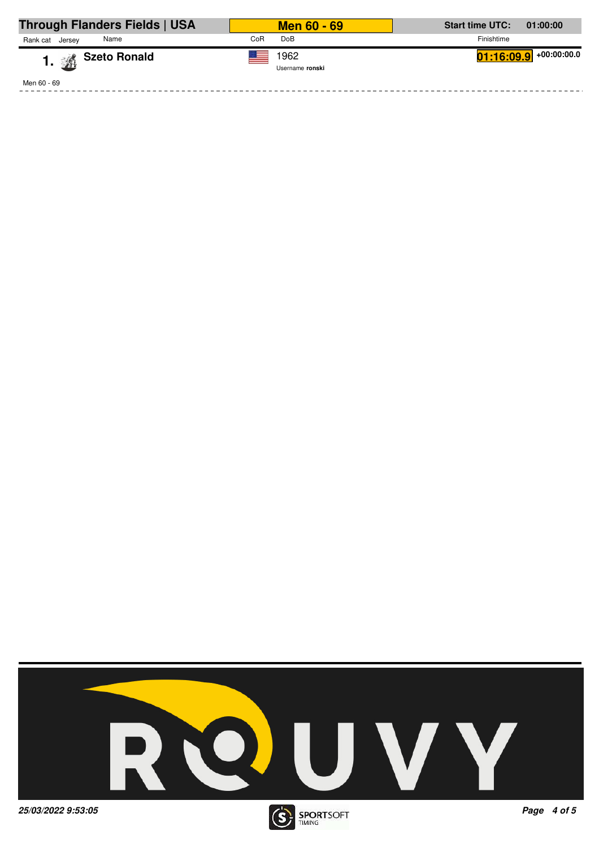| Through Flanders Fields   USA | <b>Men 60 - 69</b>      | <b>Start time UTC:</b><br>01:00:00 |
|-------------------------------|-------------------------|------------------------------------|
| Rank cat<br>Name<br>Jersev    | Do <sub>B</sub><br>CoR  | Finishtime                         |
| 1. <sup>2</sup> Szeto Ronald  | 1962<br>Username ronski | $01:16:09.9$ +00:00:00.0           |
| Men 60 - 69                   |                         |                                    |